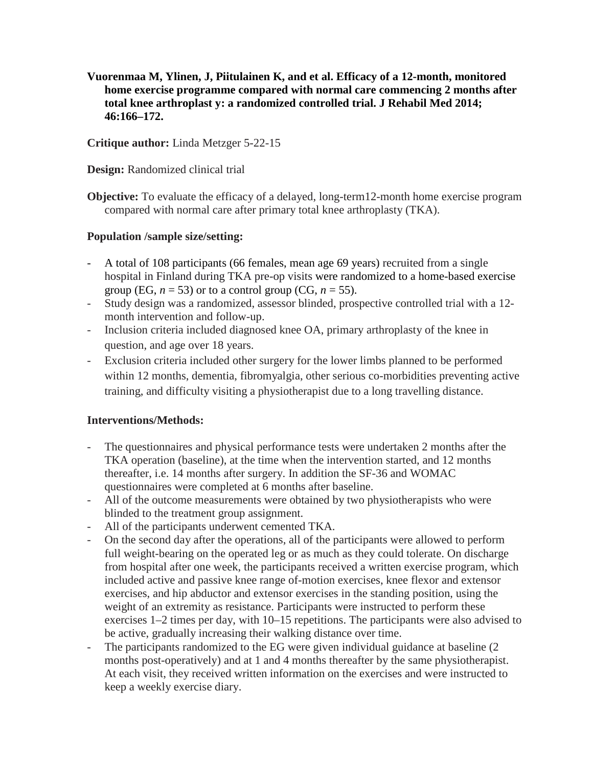**Vuorenmaa M, Ylinen, J, Piitulainen K, and et al. Efficacy of a 12-month, monitored home exercise programme compared with normal care commencing 2 months after total knee arthroplast y: a randomized controlled trial. J Rehabil Med 2014; 46:166–172.**

### **Critique author:** Linda Metzger 5-22-15

**Design:** Randomized clinical trial

**Objective:** To evaluate the efficacy of a delayed, long-term12-month home exercise program compared with normal care after primary total knee arthroplasty (TKA).

### **Population /sample size/setting:**

- A total of 108 participants (66 females, mean age 69 years) recruited from a single hospital in Finland during TKA pre-op visits were randomized to a home-based exercise group (EG,  $n = 53$ ) or to a control group (CG,  $n = 55$ ).
- Study design was a randomized, assessor blinded, prospective controlled trial with a 12 month intervention and follow-up.
- Inclusion criteria included diagnosed knee OA, primary arthroplasty of the knee in question, and age over 18 years.
- Exclusion criteria included other surgery for the lower limbs planned to be performed within 12 months, dementia, fibromyalgia, other serious co-morbidities preventing active training, and difficulty visiting a physiotherapist due to a long travelling distance.

## **Interventions/Methods:**

- The questionnaires and physical performance tests were undertaken 2 months after the TKA operation (baseline), at the time when the intervention started, and 12 months thereafter, i.e. 14 months after surgery. In addition the SF-36 and WOMAC questionnaires were completed at 6 months after baseline.
- All of the outcome measurements were obtained by two physiotherapists who were blinded to the treatment group assignment.
- All of the participants underwent cemented TKA.
- On the second day after the operations, all of the participants were allowed to perform full weight-bearing on the operated leg or as much as they could tolerate. On discharge from hospital after one week, the participants received a written exercise program, which included active and passive knee range of-motion exercises, knee flexor and extensor exercises, and hip abductor and extensor exercises in the standing position, using the weight of an extremity as resistance. Participants were instructed to perform these exercises 1–2 times per day, with 10–15 repetitions. The participants were also advised to be active, gradually increasing their walking distance over time.
- The participants randomized to the EG were given individual guidance at baseline (2) months post-operatively) and at 1 and 4 months thereafter by the same physiotherapist. At each visit, they received written information on the exercises and were instructed to keep a weekly exercise diary.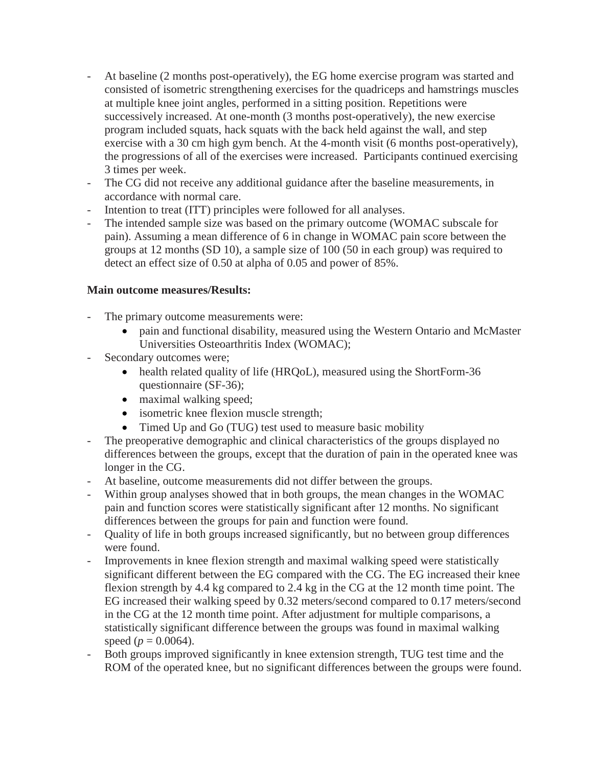- At baseline (2 months post-operatively), the EG home exercise program was started and consisted of isometric strengthening exercises for the quadriceps and hamstrings muscles at multiple knee joint angles, performed in a sitting position. Repetitions were successively increased. At one-month (3 months post-operatively), the new exercise program included squats, hack squats with the back held against the wall, and step exercise with a 30 cm high gym bench. At the 4-month visit (6 months post-operatively), the progressions of all of the exercises were increased. Participants continued exercising 3 times per week.
- The CG did not receive any additional guidance after the baseline measurements, in accordance with normal care.
- Intention to treat (ITT) principles were followed for all analyses.
- The intended sample size was based on the primary outcome (WOMAC subscale for pain). Assuming a mean difference of 6 in change in WOMAC pain score between the groups at 12 months (SD 10), a sample size of 100 (50 in each group) was required to detect an effect size of 0.50 at alpha of 0.05 and power of 85%.

## **Main outcome measures/Results:**

- The primary outcome measurements were:
	- pain and functional disability, measured using the Western Ontario and McMaster Universities Osteoarthritis Index (WOMAC);
- Secondary outcomes were;
	- health related quality of life (HRQoL), measured using the ShortForm-36 questionnaire (SF-36);
	- maximal walking speed;
	- isometric knee flexion muscle strength;
	- Timed Up and Go (TUG) test used to measure basic mobility
- The preoperative demographic and clinical characteristics of the groups displayed no differences between the groups, except that the duration of pain in the operated knee was longer in the CG.
- At baseline, outcome measurements did not differ between the groups.
- Within group analyses showed that in both groups, the mean changes in the WOMAC pain and function scores were statistically significant after 12 months. No significant differences between the groups for pain and function were found.
- Quality of life in both groups increased significantly, but no between group differences were found.
- Improvements in knee flexion strength and maximal walking speed were statistically significant different between the EG compared with the CG. The EG increased their knee flexion strength by 4.4 kg compared to 2.4 kg in the CG at the 12 month time point. The EG increased their walking speed by 0.32 meters/second compared to 0.17 meters/second in the CG at the 12 month time point. After adjustment for multiple comparisons, a statistically significant difference between the groups was found in maximal walking speed ( $p = 0.0064$ ).
- Both groups improved significantly in knee extension strength, TUG test time and the ROM of the operated knee, but no significant differences between the groups were found.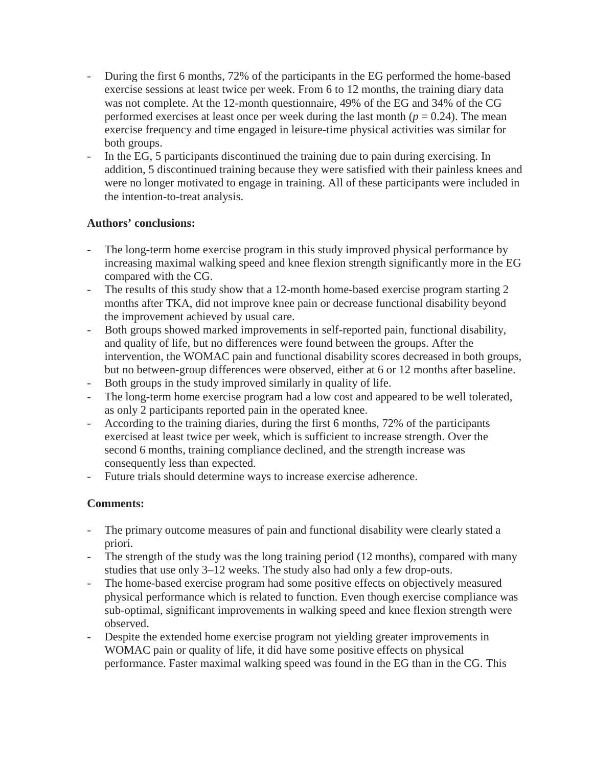- During the first 6 months, 72% of the participants in the EG performed the home-based exercise sessions at least twice per week. From 6 to 12 months, the training diary data was not complete. At the 12-month questionnaire, 49% of the EG and 34% of the CG performed exercises at least once per week during the last month ( $p = 0.24$ ). The mean exercise frequency and time engaged in leisure-time physical activities was similar for both groups.
- In the EG, 5 participants discontinued the training due to pain during exercising. In addition, 5 discontinued training because they were satisfied with their painless knees and were no longer motivated to engage in training. All of these participants were included in the intention-to-treat analysis.

## **Authors' conclusions:**

- The long-term home exercise program in this study improved physical performance by increasing maximal walking speed and knee flexion strength significantly more in the EG compared with the CG.
- The results of this study show that a 12-month home-based exercise program starting 2 months after TKA, did not improve knee pain or decrease functional disability beyond the improvement achieved by usual care.
- Both groups showed marked improvements in self-reported pain, functional disability, and quality of life, but no differences were found between the groups. After the intervention, the WOMAC pain and functional disability scores decreased in both groups, but no between-group differences were observed, either at 6 or 12 months after baseline.
- Both groups in the study improved similarly in quality of life.
- The long-term home exercise program had a low cost and appeared to be well tolerated, as only 2 participants reported pain in the operated knee.
- According to the training diaries, during the first 6 months, 72% of the participants exercised at least twice per week, which is sufficient to increase strength. Over the second 6 months, training compliance declined, and the strength increase was consequently less than expected.
- Future trials should determine ways to increase exercise adherence.

# **Comments:**

- The primary outcome measures of pain and functional disability were clearly stated a priori.
- The strength of the study was the long training period (12 months), compared with many studies that use only 3–12 weeks. The study also had only a few drop-outs.
- The home-based exercise program had some positive effects on objectively measured physical performance which is related to function. Even though exercise compliance was sub-optimal, significant improvements in walking speed and knee flexion strength were observed.
- Despite the extended home exercise program not yielding greater improvements in WOMAC pain or quality of life, it did have some positive effects on physical performance. Faster maximal walking speed was found in the EG than in the CG. This